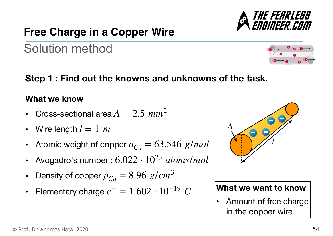## **Free Charge in a Copper Wire**

# **Step 1 : Find out the knowns and unknowns of the task.**

Solution method

#### **What we know**

- Cross-sectional area  $A = 2.5$   $mm^2$
- Wire length  $l=1 \hspace{.1cm} m$
- Atomic weight of copper  $a_{Cu} = 63.546$   $g/mol$
- Avogadro's number : 6.022 ⋅ 1023 *atoms*/*mol*
- Density of copper  $\rho_{Cu} = 8.96$   $g/cm^3$
- Elementary charge  $e^- = 1.602 \cdot 10^{-19}$   $C$  **What we <u>want</u> to know**



Amount of free charge in the copper wire



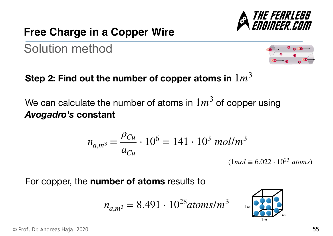

 $(1 mol \equiv 6.022 \cdot 10^{23}$  *atoms*)

Solution method

**Step 2: Find out the number of copper atoms in**  1*m*<sup>3</sup>

We can calculate the number of atoms in  $1m^3$  of copper using *Avogadro's* **constant**

For copper, the **number of atoms** results to

*ρCu*

*aCu*

 $n_{a,m^3} =$ 

$$
n_{a,m^3} = 8.491 \cdot 10^{28} \text{atoms/m}^3
$$

 $\cdot$  10<sup>6</sup> = 141  $\cdot$  10<sup>3</sup> mol/m<sup>3</sup>





THE FEARLEBB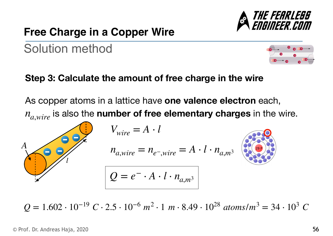

Solution method



**Step 3: Calculate the amount of free charge in the wire**

As copper atoms in a lattice have **one valence electron** each,  $n_{a,wire}$  is also the **number of free elementary charges** in the wire.



 $Q = 1.602 \cdot 10^{-19} \text{ C} \cdot 2.5 \cdot 10^{-6} \text{ m}^2 \cdot 1 \text{ m} \cdot 8.49 \cdot 10^{28} \text{ atoms/m}^3 = 34 \cdot 10^3 \text{ C}$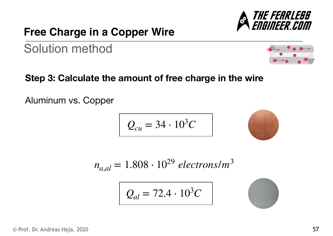## **Free Charge in a Copper Wire**

Solution method

**Step 3: Calculate the amount of free charge in the wire**

Aluminum vs. Copper

$$
Q_{cu}=34\cdot 10^3C
$$

 $n_{a,al} = 1.808 \cdot 10^{29}$  *electrons/m*<sup>3</sup>

 $Q_{al} = 72.4 \cdot 10^3 C$ 

$$
\mathcal{L}^{\mathcal{L}}(\mathcal{L}^{\mathcal{L}}(\mathcal{L}^{\mathcal{L}}))
$$

$$
\begin{array}{c|c}\n\bullet & \bullet & \bullet \\
\hline\n\bullet & \bullet & \bullet \\
\hline\n\bullet & \bullet & \bullet\n\end{array}
$$